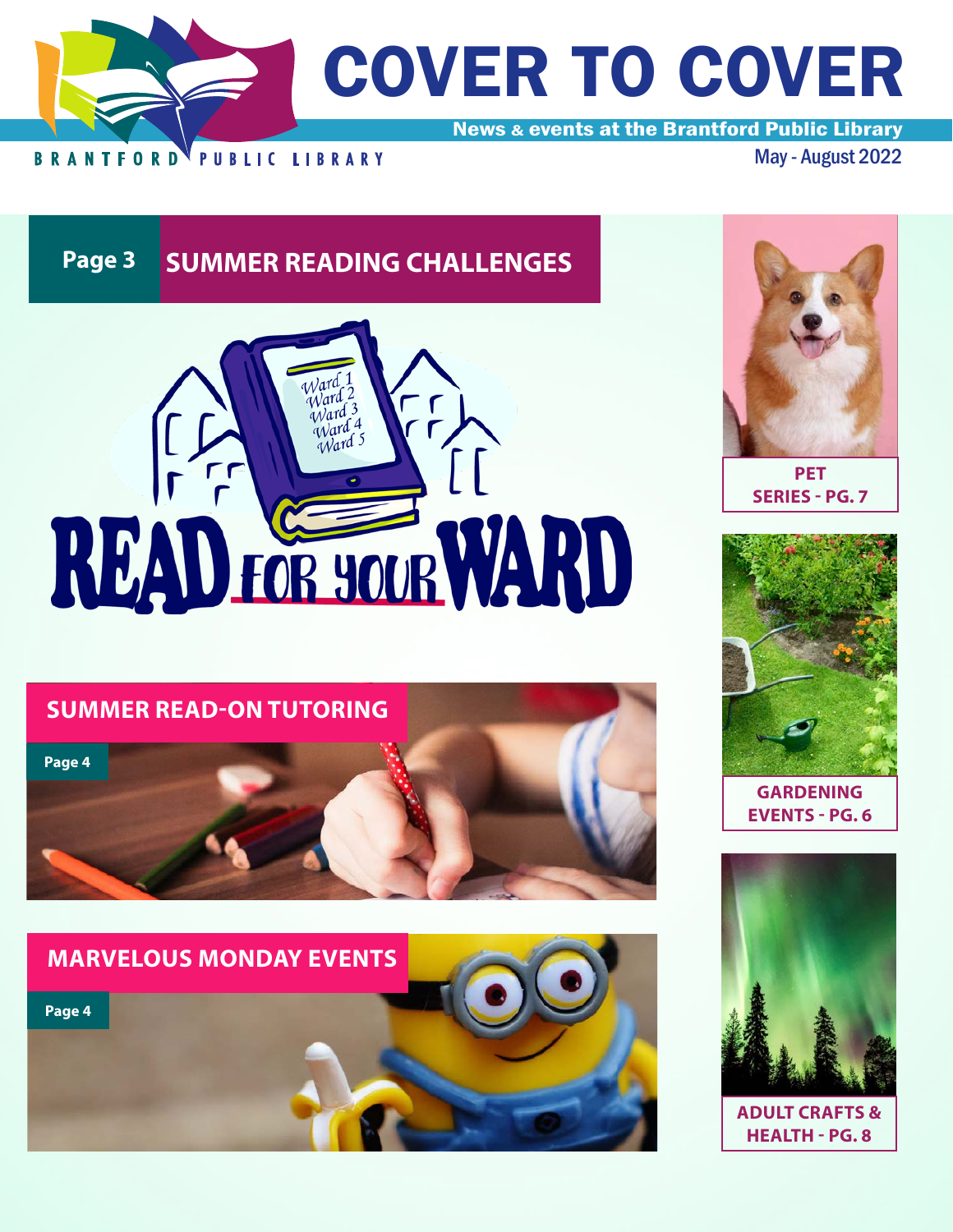

**Page 3 SUMMER READING CHALLENGES** 



# **SUMMER READ-ON TUTORING**







**PET SERIES - PG. 7**



**GARDENING EVENTS - PG. 6**



**ADULT CRAFTS & HEALTH - PG. 8**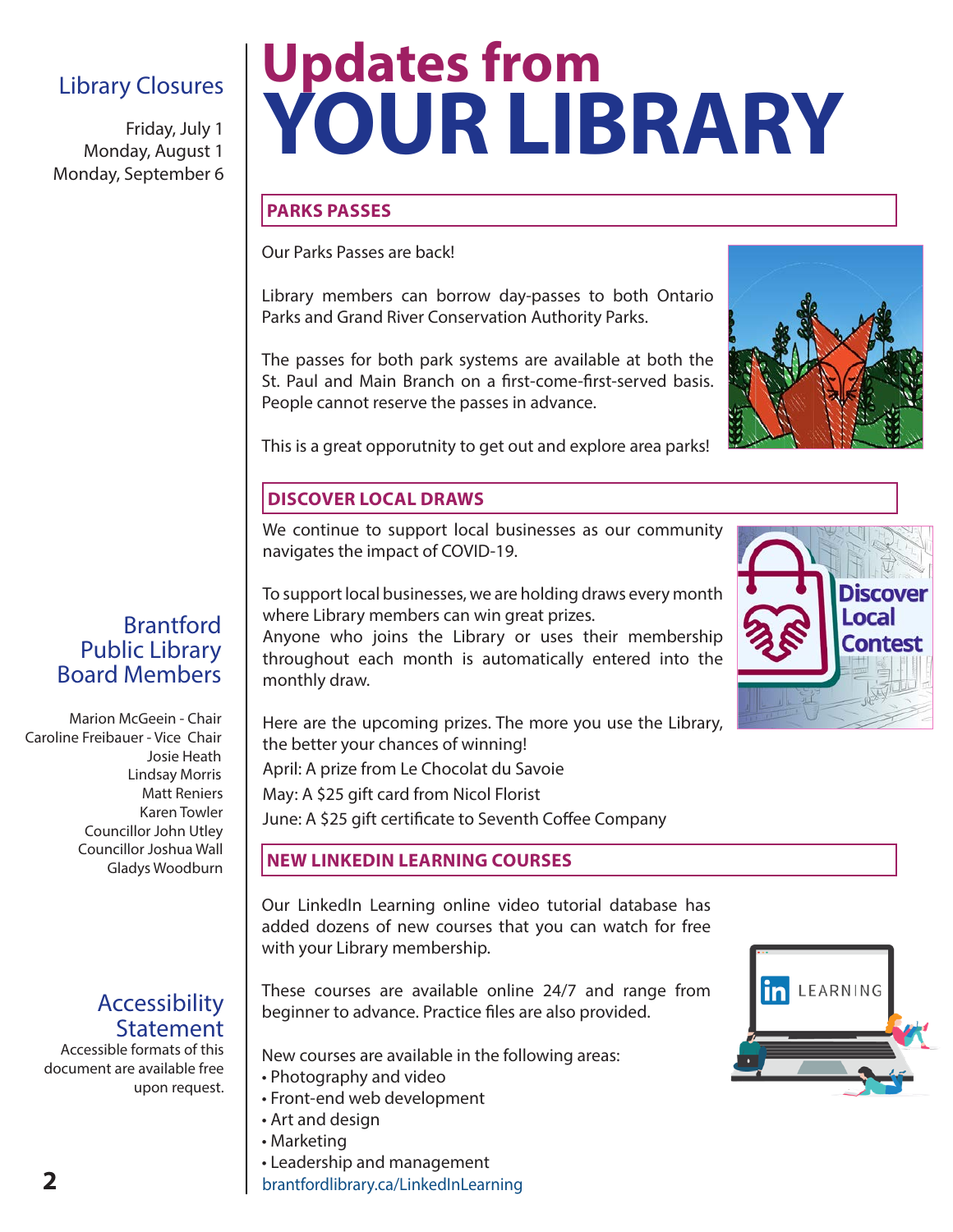# Library Closures

Friday, July 1 Monday, August 1 Monday, September 6

# **Updates from YOUR LIBRARY**

# **PARKS PASSES**

Our Parks Passes are back!

Library members can borrow day-passes to both Ontario Parks and Grand River Conservation Authority Parks.

The passes for both park systems are available at both the St. Paul and Main Branch on a first-come-first-served basis. People cannot reserve the passes in advance.



Discover Local Contes

This is a great opporutnity to get out and explore area parks!

# **DISCOVER LOCAL DRAWS**

We continue to support local businesses as our community navigates the impact of COVID-19.

To support local businesses, we are holding draws every month where Library members can win great prizes.

Anyone who joins the Library or uses their membership throughout each month is automatically entered into the monthly draw.

Here are the upcoming prizes. The more you use the Library, the better your chances of winning!

April: A prize from Le Chocolat du Savoie

May: A \$25 gift card from Nicol Florist

June: A \$25 gift certificate to Seventh Coffee Company

# **NEW LINKEDIN LEARNING COURSES**

Our LinkedIn Learning online video tutorial database has added dozens of new courses that you can watch for free with your Library membership.

These courses are available online 24/7 and range from beginner to advance. Practice files are also provided.

New courses are available in the following areas:

- Photography and video
- Front-end web development
- Art and design
- Marketing
- Leadership and management

brantfordlibrary.ca/LinkedInLearning



# **Brantford** Public Library Board Members

Marion McGeein - Chair Caroline Freibauer - Vice Chair Josie Heath Lindsay Morris Matt Reniers Karen Towler Councillor John Utley Councillor Joshua Wall Gladys Woodburn

# Accessibility Statement

Accessible formats of this document are available free upon request.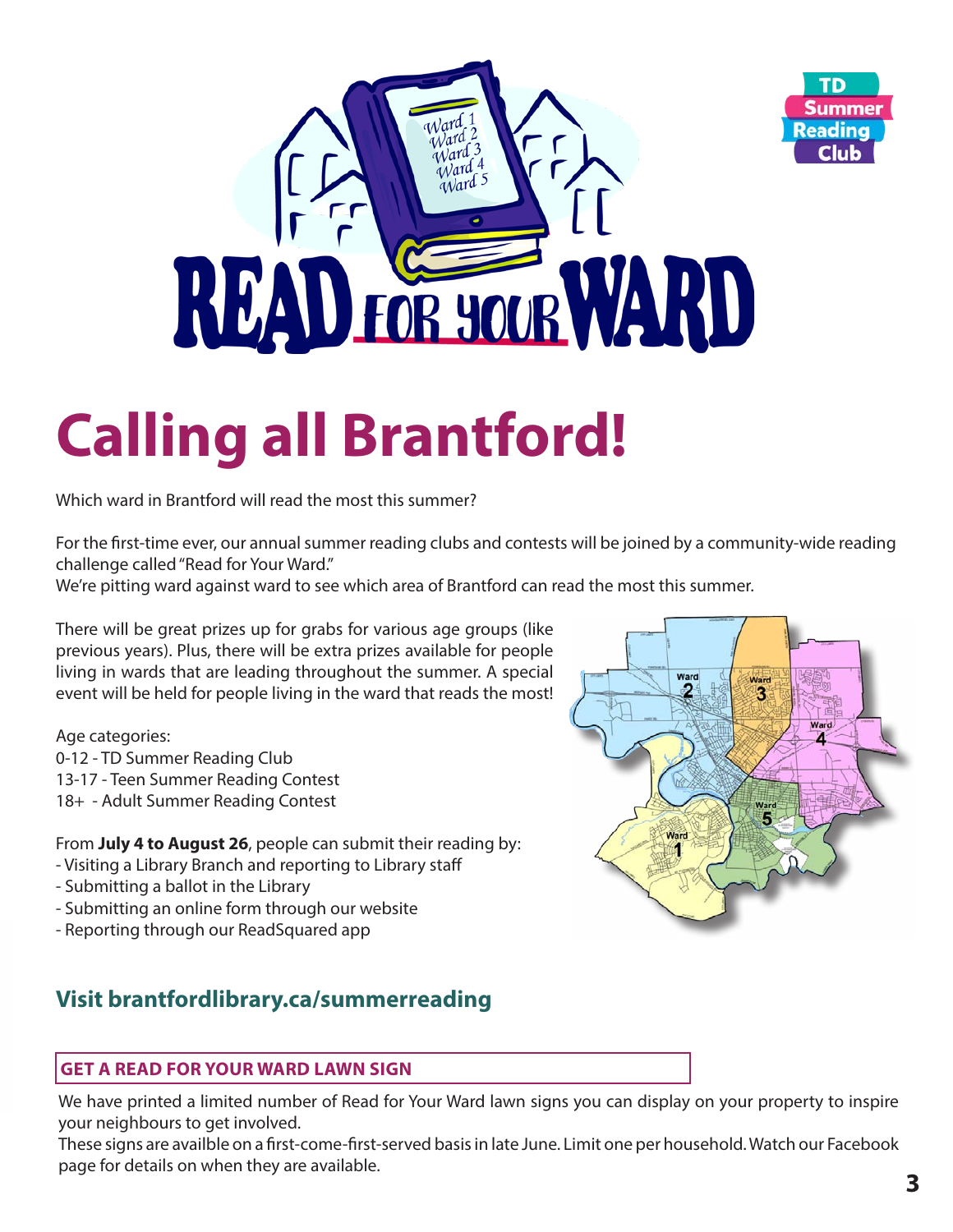

# **Calling all Brantford!**

Which ward in Brantford will read the most this summer?

For the first-time ever, our annual summer reading clubs and contests will be joined by a community-wide reading challenge called "Read for Your Ward."

We're pitting ward against ward to see which area of Brantford can read the most this summer.

There will be great prizes up for grabs for various age groups (like previous years). Plus, there will be extra prizes available for people living in wards that are leading throughout the summer. A special event will be held for people living in the ward that reads the most!

Age categories:

- 0-12 TD Summer Reading Club
- 13-17 Teen Summer Reading Contest
- 18+ Adult Summer Reading Contest

From **July 4 to August 26**, people can submit their reading by:

- Visiting a Library Branch and reporting to Library staff
- Submitting a ballot in the Library
- Submitting an online form through our website
- Reporting through our ReadSquared app

# **Visit brantfordlibrary.ca/summerreading**

# **GET A READ FOR YOUR WARD LAWN SIGN**

We have printed a limited number of Read for Your Ward lawn signs you can display on your property to inspire your neighbours to get involved.

These signs are availble on a first-come-first-served basis in late June. Limit one per household. Watch our Facebook page for details on when they are available.



TD

**Club**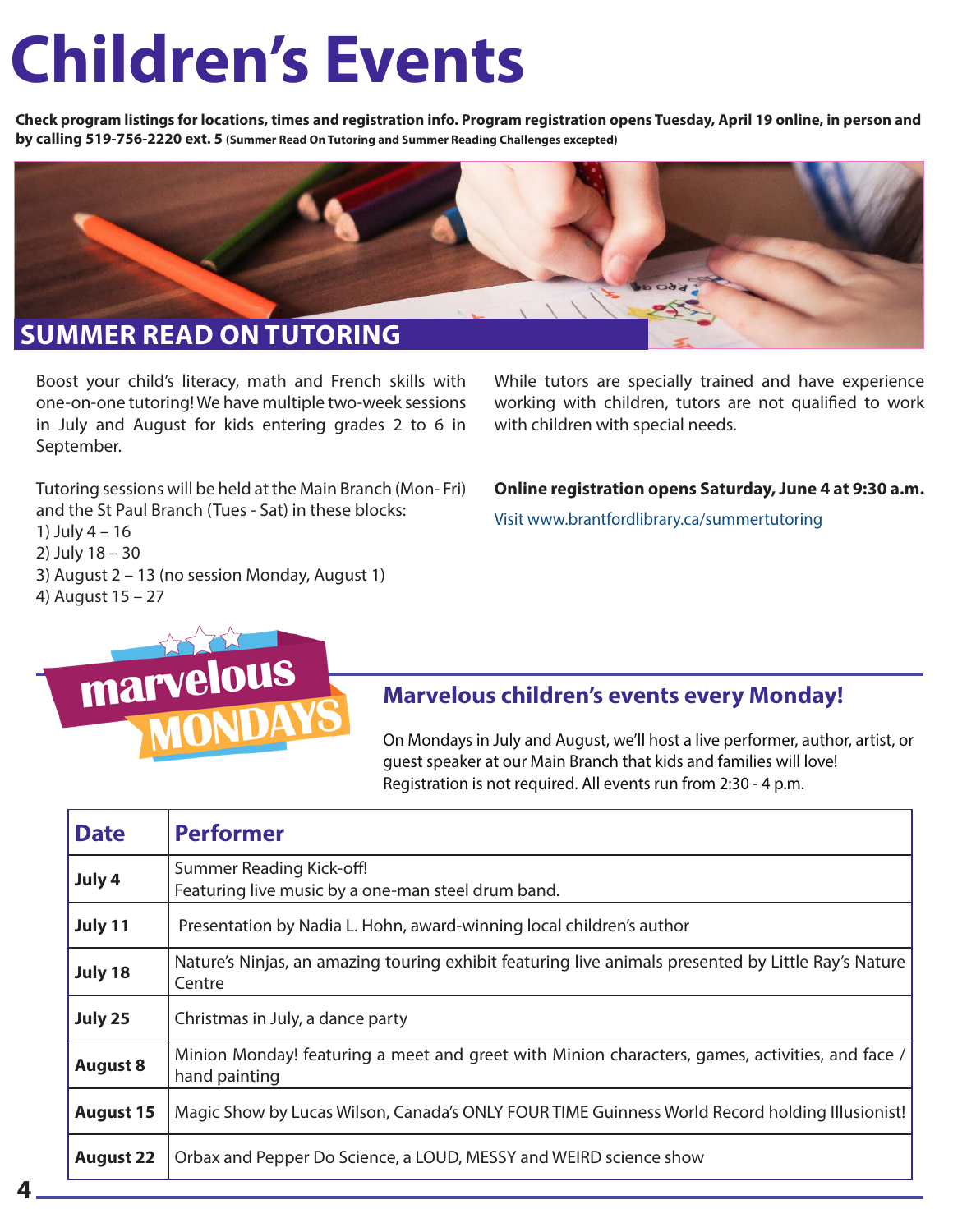# **Children's Events**

**Check program listings for locations, times and registration info. Program registration opens Tuesday, April 19 online, in person and by calling 519-756-2220 ext. 5 (Summer Read On Tutoring and Summer Reading Challenges excepted)**



Boost your child's literacy, math and French skills with one-on-one tutoring! We have multiple two-week sessions in July and August for kids entering grades 2 to 6 in September.

Tutoring sessions will be held at the Main Branch (Mon- Fri) and the St Paul Branch (Tues - Sat) in these blocks:

1) July 4 – 16

2) July 18 – 30

- 3) August 2 13 (no session Monday, August 1)
- 4) August 15 27



While tutors are specially trained and have experience working with children, tutors are not qualified to work with children with special needs.

**Online registration opens Saturday, June 4 at 9:30 a.m.**

Visit www.brantfordlibrary.ca/summertutoring

# **Marvelous children's events every Monday!**

On Mondays in July and August, we'll host a live performer, author, artist, or guest speaker at our Main Branch that kids and families will love! Registration is not required. All events run from 2:30 - 4 p.m.

| <b>Date</b>      | <b>Performer</b>                                                                                                 |
|------------------|------------------------------------------------------------------------------------------------------------------|
| July 4           | Summer Reading Kick-off!<br>Featuring live music by a one-man steel drum band.                                   |
| July 11          | Presentation by Nadia L. Hohn, award-winning local children's author                                             |
| July 18          | Nature's Ninjas, an amazing touring exhibit featuring live animals presented by Little Ray's Nature<br>Centre    |
| July 25          | Christmas in July, a dance party                                                                                 |
| <b>August 8</b>  | Minion Monday! featuring a meet and greet with Minion characters, games, activities, and face /<br>hand painting |
| <b>August 15</b> | Magic Show by Lucas Wilson, Canada's ONLY FOUR TIME Guinness World Record holding Illusionist!                   |
| <b>August 22</b> | Orbax and Pepper Do Science, a LOUD, MESSY and WEIRD science show                                                |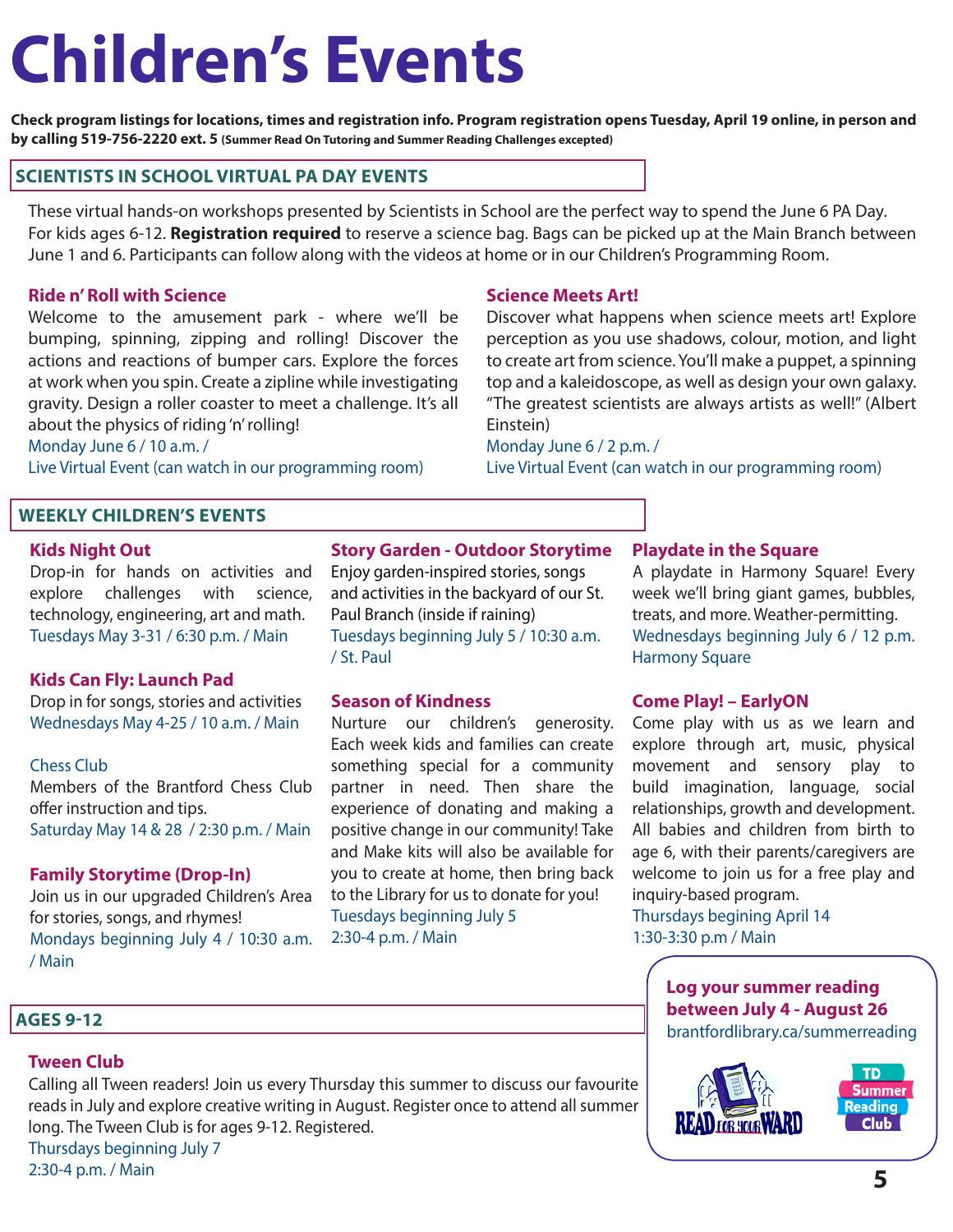# **Children's Events**

**Check program listings for locations, times and registration info. Program registration opens Tuesday, April 19 online, in person and by calling 519-756-2220 ext. 5 (Summer Read On Tutoring and Summer Reading Challenges excepted)**

# **SCIENTISTS IN SCHOOL VIRTUAL PA DAY EVENTS**

These virtual hands-on workshops presented by Scientists in School are the perfect way to spend the June 6 PA Day. For kids ages 6-12. **Registration required** to reserve a science bag. Bags can be picked up at the Main Branch between June 1 and 6. Participants can follow along with the videos at home or in our Children's Programming Room.

# **Ride n' Roll with Science**

Welcome to the amusement park - where we'll be bumping, spinning, zipping and rolling! Discover the actions and reactions of bumper cars. Explore the forces at work when you spin. Create a zipline while investigating gravity. Design a roller coaster to meet a challenge. It's all about the physics of riding 'n' rolling!

#### Monday June 6 / 10 a.m. /

Live Virtual Event (can watch in our programming room)

# **WEEKLY CHILDREN'S EVENTS**

#### **Kids Night Out**

Drop-in for hands on activities and explore challenges with science, technology, engineering, art and math. Tuesdays May 3-31 / 6:30 p.m. / Main

# **Kids Can Fly: Launch Pad**

Drop in for songs, stories and activities Wednesdays May 4-25 / 10 a.m. / Main

## Chess Club

Members of the Brantford Chess Club offer instruction and tips. Saturday May 14 & 28 / 2:30 p.m. / Main

## **Family Storytime (Drop-In)**

Join us in our upgraded Children's Area for stories, songs, and rhymes! Mondays beginning July 4 / 10:30 a.m. / Main

# **Story Garden - Outdoor Storytime**

Enjoy garden-inspired stories, songs and activities in the backyard of our St. Paul Branch (inside if raining) Tuesdays beginning July 5 / 10:30 a.m. / St. Paul

## **Season of Kindness**

Nurture our children's generosity. Each week kids and families can create something special for a community partner in need. Then share the experience of donating and making a positive change in our community! Take and Make kits will also be available for you to create at home, then bring back to the Library for us to donate for you! Tuesdays beginning July 5 2:30-4 p.m. / Main

# **Science Meets Art!**

Discover what happens when science meets art! Explore perception as you use shadows, colour, motion, and light to create art from science. You'll make a puppet, a spinning top and a kaleidoscope, as well as design your own galaxy. "The greatest scientists are always artists as well!" (Albert Einstein)

# Monday June 6 / 2 p.m. /

Live Virtual Event (can watch in our programming room)

## **Playdate in the Square**

A playdate in Harmony Square! Every week we'll bring giant games, bubbles, treats, and more. Weather-permitting. Wednesdays beginning July 6 / 12 p.m. Harmony Square

# **Come Play! – EarlyON**

Come play with us as we learn and explore through art, music, physical movement and sensory play to build imagination, language, social relationships, growth and development. All babies and children from birth to age 6, with their parents/caregivers are welcome to join us for a free play and inquiry-based program.

# Thursdays begining April 14 1:30-3:30 p.m / Main

**Log your summer reading between July 4 - August 26** brantfordlibrary.ca/summerreading

# **Tween Club**

 **AGES 9-12**

Calling all Tween readers! Join us every Thursday this summer to discuss our favourite reads in July and explore creative writing in August. Register once to attend all summer long. The Tween Club is for ages 9-12. Registered. Thursdays beginning July 7

2:30-4 p.m. / Main

**TD** Summer **Reading**  $Club$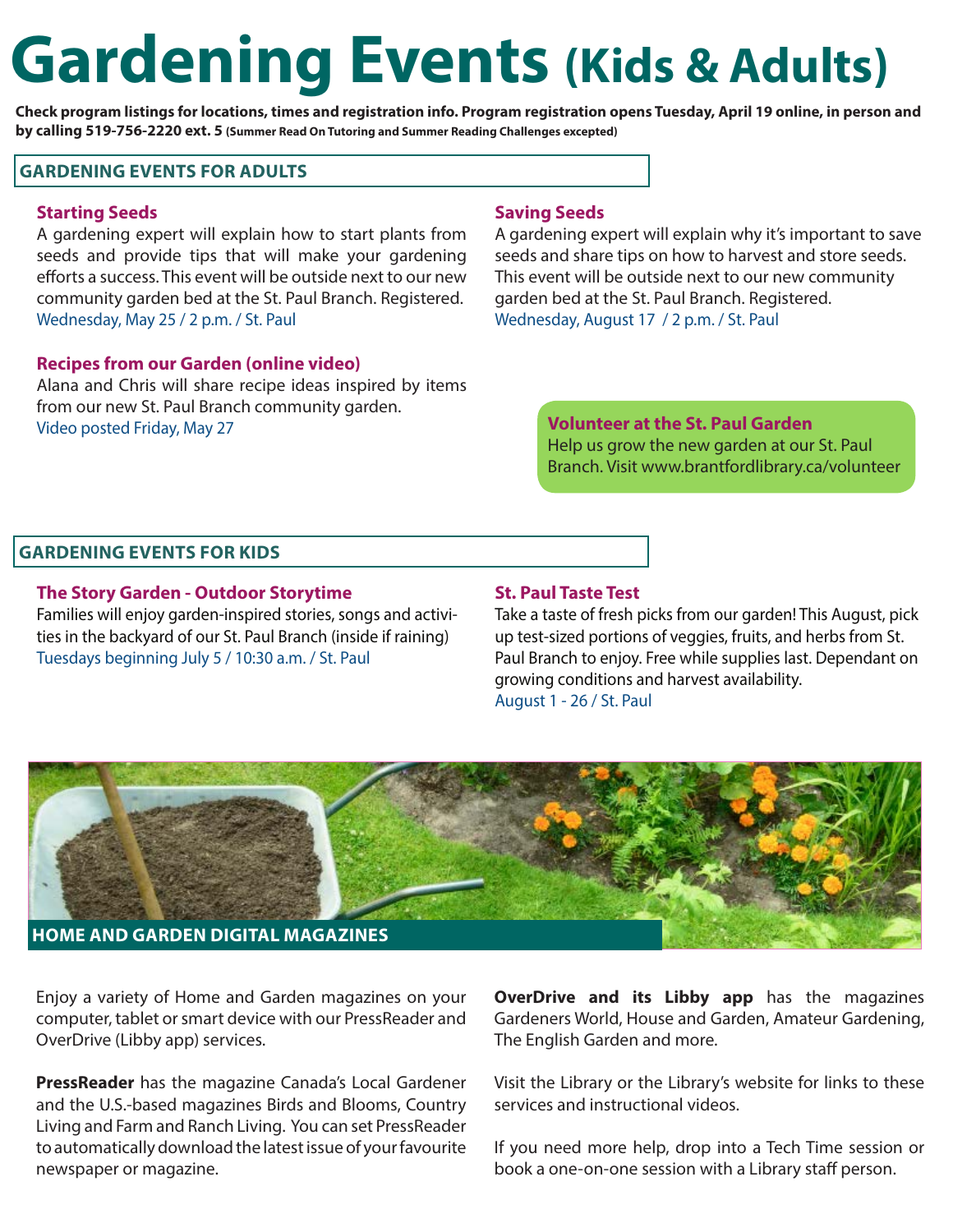# **Gardening Events (Kids & Adults)**

**Check program listings for locations, times and registration info. Program registration opens Tuesday, April 19 online, in person and by calling 519-756-2220 ext. 5 (Summer Read On Tutoring and Summer Reading Challenges excepted)**

### **GARDENING EVENTS FOR ADULTS**

#### **Starting Seeds**

A gardening expert will explain how to start plants from seeds and provide tips that will make your gardening efforts a success. This event will be outside next to our new community garden bed at the St. Paul Branch. Registered. Wednesday, May 25 / 2 p.m. / St. Paul

#### **Recipes from our Garden (online video)**

Alana and Chris will share recipe ideas inspired by items from our new St. Paul Branch community garden. Video posted Friday, May 27

#### **Saving Seeds**

A gardening expert will explain why it's important to save seeds and share tips on how to harvest and store seeds. This event will be outside next to our new community garden bed at the St. Paul Branch. Registered. Wednesday, August 17 / 2 p.m. / St. Paul

# **Volunteer at the St. Paul Garden** Help us grow the new garden at our St. Paul Branch. Visit www.brantfordlibrary.ca/volunteer

## **GARDENING EVENTS FOR KIDS**

#### **The Story Garden - Outdoor Storytime**

Families will enjoy garden-inspired stories, songs and activities in the backyard of our St. Paul Branch (inside if raining) Tuesdays beginning July 5 / 10:30 a.m. / St. Paul

#### **St. Paul Taste Test**

Take a taste of fresh picks from our garden! This August, pick up test-sized portions of veggies, fruits, and herbs from St. Paul Branch to enjoy. Free while supplies last. Dependant on growing conditions and harvest availability. August 1 - 26 / St. Paul



Enjoy a variety of Home and Garden magazines on your computer, tablet or smart device with our PressReader and OverDrive (Libby app) services.

**PressReader** has the magazine Canada's Local Gardener and the U.S.-based magazines Birds and Blooms, Country Living and Farm and Ranch Living. You can set PressReader to automatically download the latest issue of your favourite newspaper or magazine.

**OverDrive and its Libby app** has the magazines Gardeners World, House and Garden, Amateur Gardening, The English Garden and more.

Visit the Library or the Library's website for links to these services and instructional videos.

If you need more help, drop into a Tech Time session or book a one-on-one session with a Library staff person.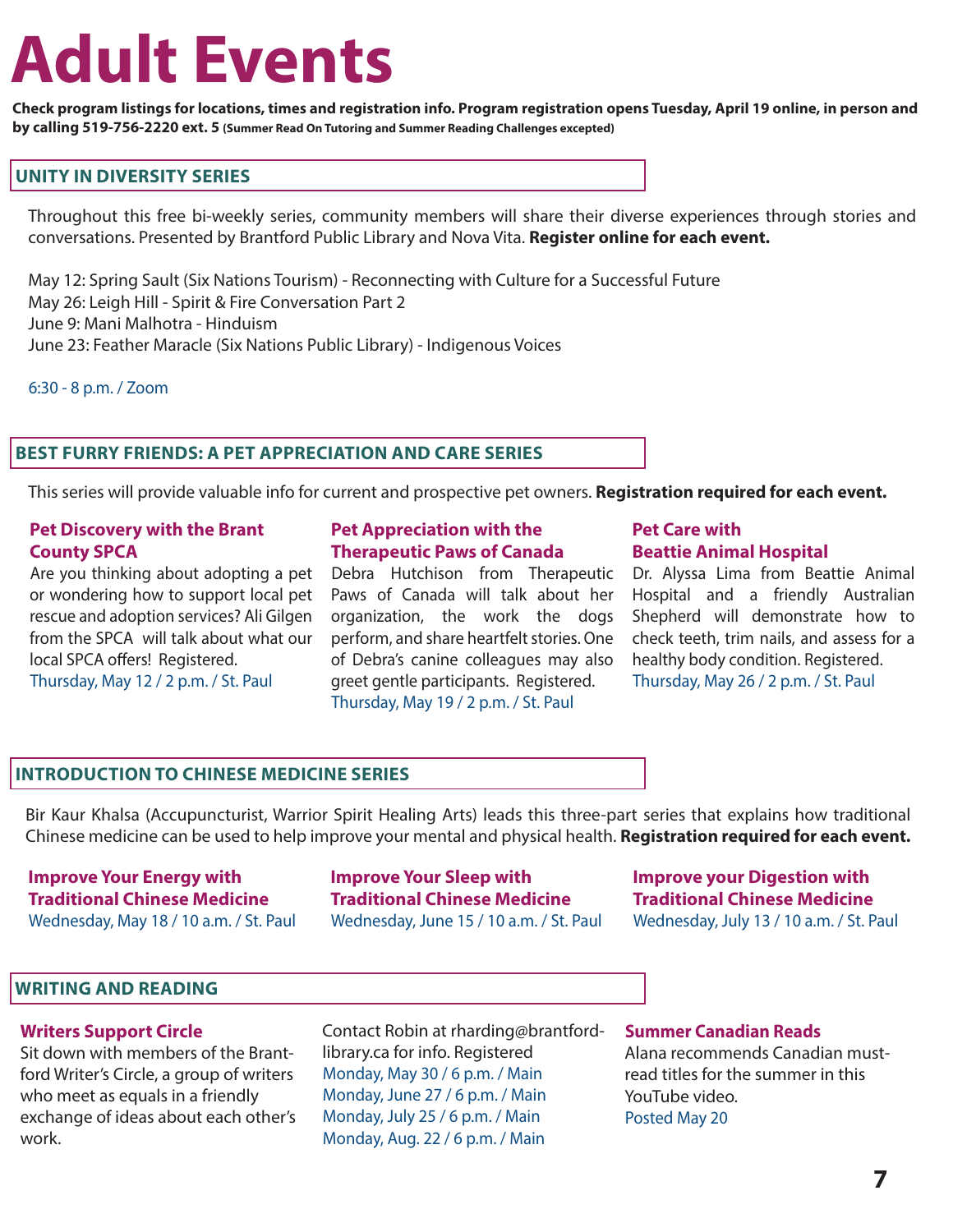# **Adult Events**

**Check program listings for locations, times and registration info. Program registration opens Tuesday, April 19 online, in person and by calling 519-756-2220 ext. 5 (Summer Read On Tutoring and Summer Reading Challenges excepted)**

# **UNITY IN DIVERSITY SERIES**

Throughout this free bi-weekly series, community members will share their diverse experiences through stories and conversations. Presented by Brantford Public Library and Nova Vita. **Register online for each event.**

May 12: Spring Sault (Six Nations Tourism) - Reconnecting with Culture for a Successful Future May 26: Leigh Hill - Spirit & Fire Conversation Part 2 June 9: Mani Malhotra - Hinduism June 23: Feather Maracle (Six Nations Public Library) - Indigenous Voices

6:30 - 8 p.m. / Zoom

# **BEST FURRY FRIENDS: A PET APPRECIATION AND CARE SERIES**

This series will provide valuable info for current and prospective pet owners. **Registration required for each event.** 

### **Pet Discovery with the Brant County SPCA**

Are you thinking about adopting a pet or wondering how to support local pet rescue and adoption services? Ali Gilgen from the SPCA will talk about what our local SPCA offers! Registered.

Thursday, May 12 / 2 p.m. / St. Paul

### **Pet Appreciation with the Therapeutic Paws of Canada**

Debra Hutchison from Therapeutic Paws of Canada will talk about her organization, the work the dogs perform, and share heartfelt stories. One of Debra's canine colleagues may also greet gentle participants. Registered. Thursday, May 19 / 2 p.m. / St. Paul

### **Pet Care with Beattie Animal Hospital**

Dr. Alyssa Lima from Beattie Animal Hospital and a friendly Australian Shepherd will demonstrate how to check teeth, trim nails, and assess for a healthy body condition. Registered. Thursday, May 26 / 2 p.m. / St. Paul

## **INTRODUCTION TO CHINESE MEDICINE SERIES**

Bir Kaur Khalsa (Accupuncturist, Warrior Spirit Healing Arts) leads this three-part series that explains how traditional Chinese medicine can be used to help improve your mental and physical health. **Registration required for each event.**

## **Improve Your Energy with Traditional Chinese Medicine** Wednesday, May 18 / 10 a.m. / St. Paul

**Improve Your Sleep with Traditional Chinese Medicine** Wednesday, June 15 / 10 a.m. / St. Paul **Improve your Digestion with Traditional Chinese Medicine** Wednesday, July 13 / 10 a.m. / St. Paul

## **WRITING AND READING**

## **Writers Support Circle**

Sit down with members of the Brantford Writer's Circle, a group of writers who meet as equals in a friendly exchange of ideas about each other's work.

Contact Robin at rharding@brantfordlibrary.ca for info. Registered Monday, May 30 / 6 p.m. / Main Monday, June 27 / 6 p.m. / Main Monday, July 25 / 6 p.m. / Main Monday, Aug. 22 / 6 p.m. / Main

#### **Summer Canadian Reads**

Alana recommends Canadian mustread titles for the summer in this YouTube video. Posted May 20